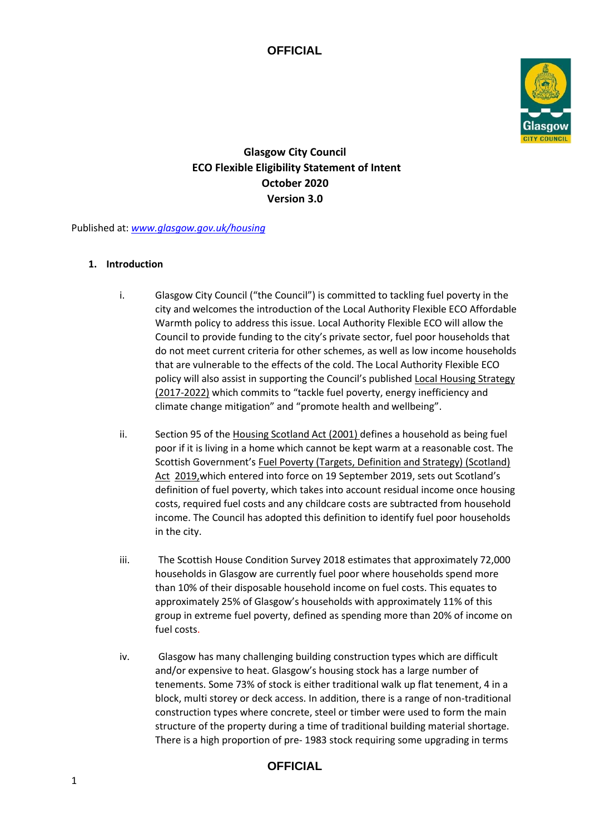

# **Glasgow City Council ECO Flexible Eligibility Statement of Intent October 2020 Version 3.0**

Published at: *[www.glasgow.gov.uk/housing](http://www.glasgow.gov.uk/housing)*

#### **1. Introduction**

- i. Glasgow City Council ("the Council") is committed to tackling fuel poverty in the city and welcomes the introduction of the Local Authority Flexible ECO Affordable Warmth policy to address this issue. Local Authority Flexible ECO will allow the Council to provide funding to the city's private sector, fuel poor households that do not meet current criteria for other schemes, as well as low income households that are vulnerable to the effects of the cold. The Local Authority Flexible ECO policy will also assist in supporting the Council's published [Local Housing Strategy](http://www.glasgow.gov.uk/CHttpHandler.ashx?id=4584&p=0) [\(2017-2022\)](http://www.glasgow.gov.uk/CHttpHandler.ashx?id=4584&p=0) which commits to "tackle fuel poverty, energy inefficiency and climate change mitigation" and "promote health and wellbeing".
- ii. S[e](http://www.legislation.gov.uk/asp/2001/10/pdfs/asp_20010010_en.pdf)ction 95 of the [Housing Scotland Act \(2001\) de](http://www.legislation.gov.uk/asp/2001/10/pdfs/asp_20010010_en.pdf)fines a household as being fuel poor if it is living in a home which cannot be kept warm at a reasonable cost. The Scottish Government's [Fuel Poverty \(Targets, Definition and Strategy\) \(Scotland\)](https://www.parliament.scot/parliamentarybusiness/Bills/108916.aspx) [Act](https://www.parliament.scot/parliamentarybusiness/Bills/108916.aspx) 2019, which entered into force on 19 September 2019, sets out Scotland's definition of fuel poverty, which takes into account residual income once housing costs, required fuel costs and any childcare costs are subtracted from household income. The Council has adopted this definition to identify fuel poor households in the city.
- iii. The Scottish House Condition Survey 2018 estimates that approximately 72,000 households in Glasgow are currently fuel poor where households spend more than 10% of their disposable household income on fuel costs. This equates to approximately 25% of Glasgow's households with approximately 11% of this group in extreme fuel poverty, defined as spending more than 20% of income on fuel costs.
- iv. Glasgow has many challenging building construction types which are difficult and/or expensive to heat. Glasgow's housing stock has a large number of tenements. Some 73% of stock is either traditional walk up flat tenement, 4 in a block, multi storey or deck access. In addition, there is a range of non-traditional construction types where concrete, steel or timber were used to form the main structure of the property during a time of traditional building material shortage. There is a high proportion of pre- 1983 stock requiring some upgrading in terms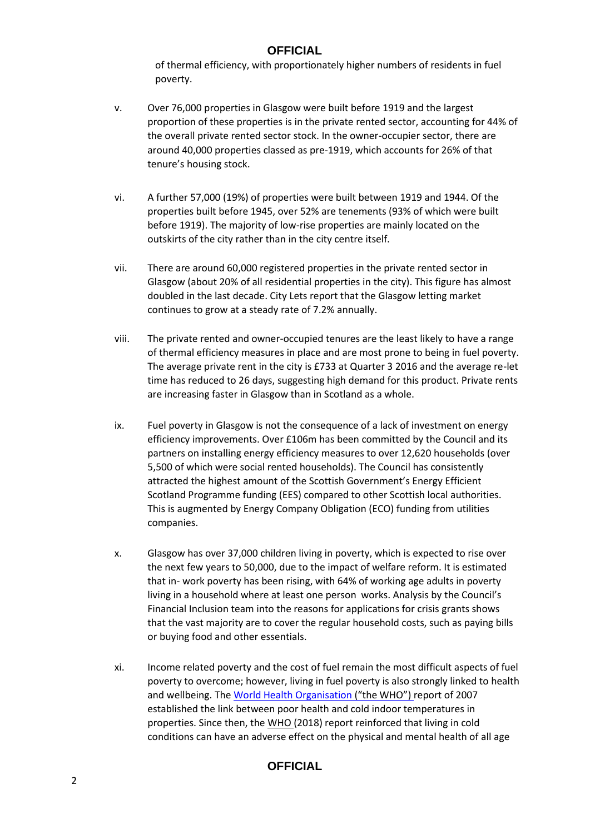of thermal efficiency, with proportionately higher numbers of residents in fuel poverty.

- v. Over 76,000 properties in Glasgow were built before 1919 and the largest proportion of these properties is in the private rented sector, accounting for 44% of the overall private rented sector stock. In the owner-occupier sector, there are around 40,000 properties classed as pre-1919, which accounts for 26% of that tenure's housing stock.
- vi. A further 57,000 (19%) of properties were built between 1919 and 1944. Of the properties built before 1945, over 52% are tenements (93% of which were built before 1919). The majority of low-rise properties are mainly located on the outskirts of the city rather than in the city centre itself.
- vii. There are around 60,000 registered properties in the private rented sector in Glasgow (about 20% of all residential properties in the city). This figure has almost doubled in the last decade. City Lets report that the Glasgow letting market continues to grow at a steady rate of 7.2% annually.
- viii. The private rented and owner-occupied tenures are the least likely to have a range of thermal efficiency measures in place and are most prone to being in fuel poverty. The average private rent in the city is £733 at Quarter 3 2016 and the average re-let time has reduced to 26 days, suggesting high demand for this product. Private rents are increasing faster in Glasgow than in Scotland as a whole.
- ix. Fuel poverty in Glasgow is not the consequence of a lack of investment on energy efficiency improvements. Over £106m has been committed by the Council and its partners on installing energy efficiency measures to over 12,620 households (over 5,500 of which were social rented households). The Council has consistently attracted the highest amount of the Scottish Government's Energy Efficient Scotland Programme funding (EES) compared to other Scottish local authorities. This is augmented by Energy Company Obligation (ECO) funding from utilities companies.
- x. Glasgow has over 37,000 children living in poverty, which is expected to rise over the next few years to 50,000, due to the impact of welfare reform. It is estimated that in- work poverty has been rising, with 64% of working age adults in poverty living in a household where at least one person works. Analysis by the Council's Financial Inclusion team into the reasons for applications for crisis grants shows that the vast majority are to cover the regular household costs, such as paying bills or buying food and other essentials.
- xi. Income related poverty and the cost of fuel remain the most difficult aspects of fuel poverty to overcome; however, living in fuel poverty is also strongly linked to health and wellbeing. Th[e World Health Organisation \(](http://www.euro.who.int/__data/assets/pdf_file/0008/97091/E89887.pdf)"the WHO") report of 2007 established the link between poor health and cold indoor temperatures in properties. Since then, the [WHO \(2](https://www.ncbi.nlm.nih.gov/books/NBK535294/)018) report reinforced that living in cold conditions can have an adverse effect on the physical and mental health of all age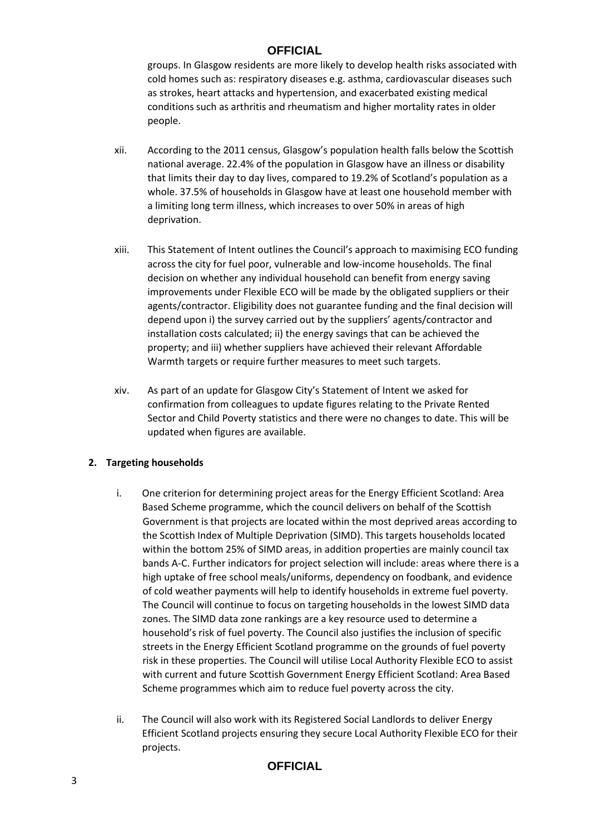groups. In Glasgow residents are more likely to develop health risks associated with cold homes such as: respiratory diseases e.g. asthma, cardiovascular diseases such as strokes, heart attacks and hypertension, and exacerbated existing medical conditions such as arthritis and rheumatism and higher mortality rates in older people.

- xii. According to the 2011 census, Glasgow's population health falls below the Scottish national average. 22.4% of the population in Glasgow have an illness or disability that limits their day to day lives, compared to 19.2% of Scotland's population as a whole. 37.5% of households in Glasgow have at least one household member with a limiting long term illness, which increases to over 50% in areas of high deprivation.
- xiii. This Statement of Intent outlines the Council's approach to maximising ECO funding across the city for fuel poor, vulnerable and low-income households. The final decision on whether any individual household can benefit from energy saving improvements under Flexible ECO will be made by the obligated suppliers or their agents/contractor. Eligibility does not guarantee funding and the final decision will depend upon i) the survey carried out by the suppliers' agents/contractor and installation costs calculated; ii) the energy savings that can be achieved the property; and iii) whether suppliers have achieved their relevant Affordable Warmth targets or require further measures to meet such targets.
- xiv. As part of an update for Glasgow City's Statement of Intent we asked for confirmation from colleagues to update figures relating to the Private Rented Sector and Child Poverty statistics and there were no changes to date. This will be updated when figures are available.

#### **2. Targeting households**

- i. One criterion for determining project areas for the Energy Efficient Scotland: Area Based Scheme programme, which the council delivers on behalf of the Scottish Government is that projects are located within the most deprived areas according to the Scottish Index of Multiple Deprivation (SIMD). This targets households located within the bottom 25% of SIMD areas, in addition properties are mainly council tax bands A-C. Further indicators for project selection will include: areas where there is a high uptake of free school meals/uniforms, dependency on foodbank, and evidence of cold weather payments will help to identify households in extreme fuel poverty. The Council will continue to focus on targeting households in the lowest SIMD data zones. The SIMD data zone rankings are a key resource used to determine a household's risk of fuel poverty. The Council also justifies the inclusion of specific streets in the Energy Efficient Scotland programme on the grounds of fuel poverty risk in these properties. The Council will utilise Local Authority Flexible ECO to assist with current and future Scottish Government Energy Efficient Scotland: Area Based Scheme programmes which aim to reduce fuel poverty across the city.
- ii. The Council will also work with its Registered Social Landlords to deliver Energy Efficient Scotland projects ensuring they secure Local Authority Flexible ECO for their projects.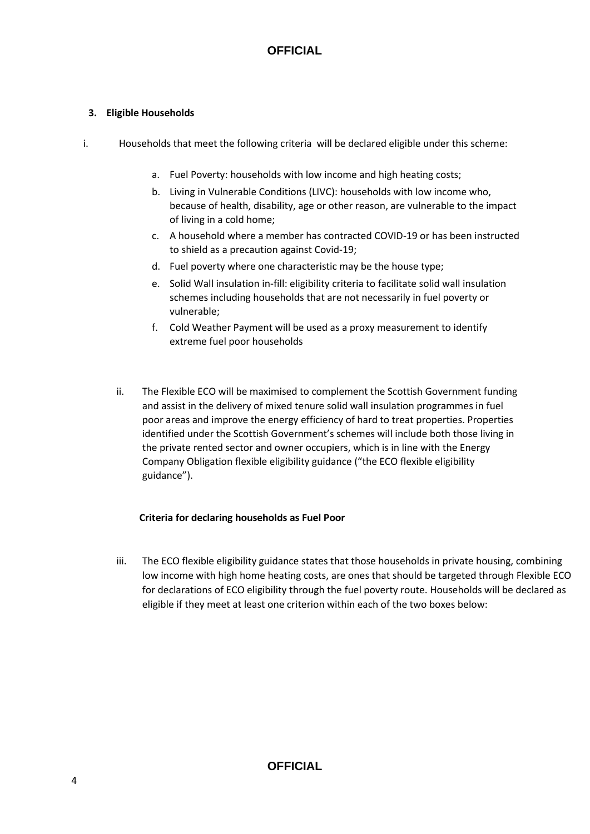### **3. Eligible Households**

- i. Households that meet the following criteria will be declared eligible under this scheme:
	- a. Fuel Poverty: households with low income and high heating costs;
	- b. Living in Vulnerable Conditions (LIVC): households with low income who, because of health, disability, age or other reason, are vulnerable to the impact of living in a cold home;
	- c. A household where a member has contracted COVID-19 or has been instructed to shield as a precaution against Covid-19;
	- d. Fuel poverty where one characteristic may be the house type;
	- e. Solid Wall insulation in-fill: eligibility criteria to facilitate solid wall insulation schemes including households that are not necessarily in fuel poverty or vulnerable;
	- f. Cold Weather Payment will be used as a proxy measurement to identify extreme fuel poor households
	- ii. The Flexible ECO will be maximised to complement the Scottish Government funding and assist in the delivery of mixed tenure solid wall insulation programmes in fuel poor areas and improve the energy efficiency of hard to treat properties. Properties identified under the Scottish Government's schemes will include both those living in the private rented sector and owner occupiers, which is in line with the Energy Company Obligation flexible eligibility guidance ("the ECO flexible eligibility guidance").

#### **Criteria for declaring households as Fuel Poor**

iii. The ECO flexible eligibility guidance states that those households in private housing, combining low income with high home heating costs, are ones that should be targeted through Flexible ECO for declarations of ECO eligibility through the fuel poverty route. Households will be declared as eligible if they meet at least one criterion within each of the two boxes below: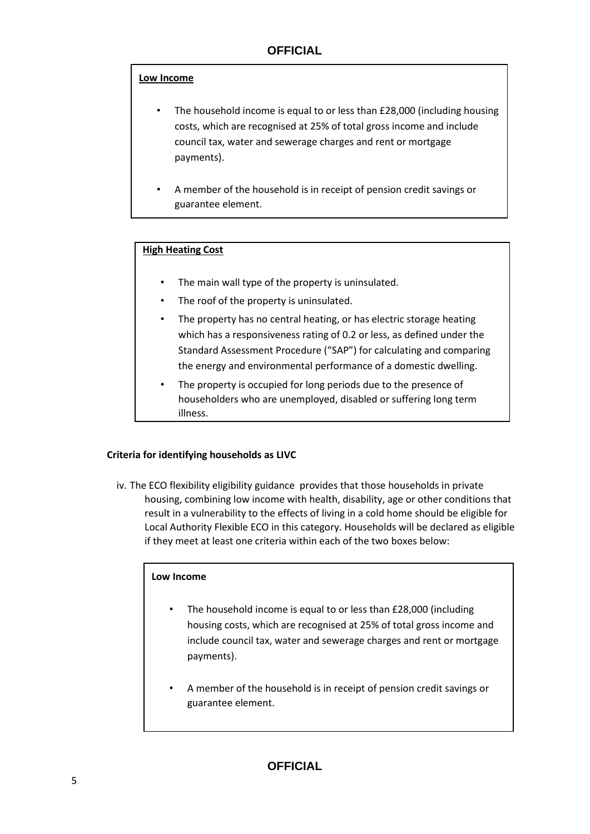#### **Low Income**

- The household income is equal to or less than £28,000 (including housing costs, which are recognised at 25% of total gross income and include council tax, water and sewerage charges and rent or mortgage payments).
- A member of the household is in receipt of pension credit savings or guarantee element.

#### **High Heating Cost**

- The main wall type of the property is uninsulated.
- The roof of the property is uninsulated.
- The property has no central heating, or has electric storage heating which has a responsiveness rating of 0.2 or less, as defined under the Standard Assessment Procedure ("SAP") for calculating and comparing the energy and environmental performance of a domestic dwelling.
- The property is occupied for long periods due to the presence of householders who are unemployed, disabled or suffering long term illness.

#### **Criteria for identifying households as LIVC**

iv. The ECO flexibility eligibility guidance provides that those households in private housing, combining low income with health, disability, age or other conditions that result in a vulnerability to the effects of living in a cold home should be eligible for Local Authority Flexible ECO in this category. Households will be declared as eligible if they meet at least one criteria within each of the two boxes below:

#### **Low Income**

- The household income is equal to or less than £28,000 (including housing costs, which are recognised at 25% of total gross income and include council tax, water and sewerage charges and rent or mortgage payments).
- A member of the household is in receipt of pension credit savings or guarantee element.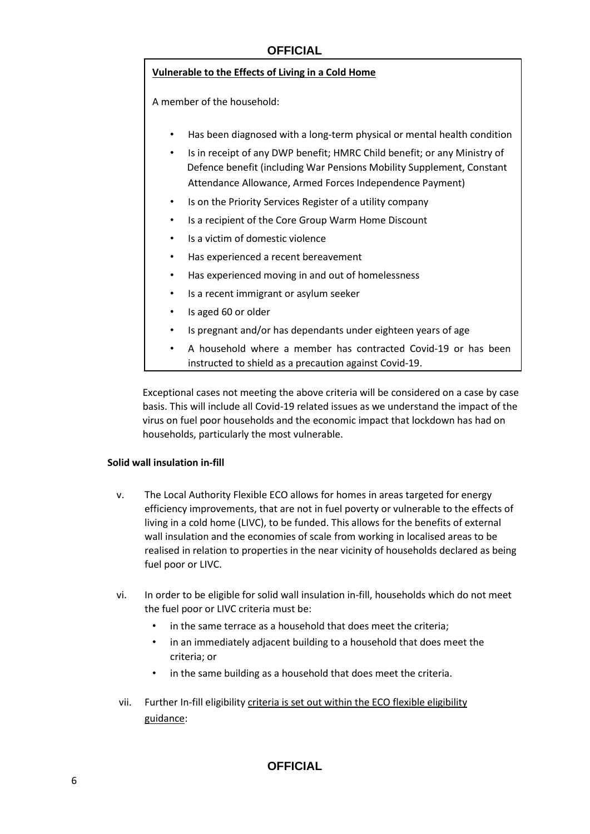#### **Vulnerable to the Effects of Living in a Cold Home**

A member of the household:

- Has been diagnosed with a long-term physical or mental health condition
- Is in receipt of any DWP benefit; HMRC Child benefit; or any Ministry of Defence benefit (including War Pensions Mobility Supplement, Constant Attendance Allowance, Armed Forces Independence Payment)
- Is on the Priority Services Register of a utility company
- Is a recipient of the Core Group Warm Home Discount
- Is a victim of domestic violence
- Has experienced a recent bereavement
- Has experienced moving in and out of homelessness
- Is a recent immigrant or asylum seeker
- Is aged 60 or older
- Is pregnant and/or has dependants under eighteen years of age
- A household where a member has contracted Covid-19 or has been instructed to shield as a precaution against Covid-19.

Exceptional cases not meeting the above criteria will be considered on a case by case basis. This will include all Covid-19 related issues as we understand the impact of the virus on fuel poor households and the economic impact that lockdown has had on households, particularly the most vulnerable.

#### **Solid wall insulation in-fill**

- v. The Local Authority Flexible ECO allows for homes in areas targeted for energy efficiency improvements, that are not in fuel poverty or vulnerable to the effects of living in a cold home (LIVC), to be funded. This allows for the benefits of external wall insulation and the economies of scale from working in localised areas to be realised in relation to properties in the near vicinity of households declared as being fuel poor or LIVC.
- vi. In order to be eligible for solid wall insulation in-fill, households which do not meet the fuel poor or LIVC criteria must be:
	- in the same terrace as a household that does meet the criteria;
	- in an immediately adjacent building to a household that does meet the criteria; or
	- in the same building as a household that does meet the criteria.
- vii. Further In-fill eligibility criteria is set out within the ECO flexible eligibility guidance: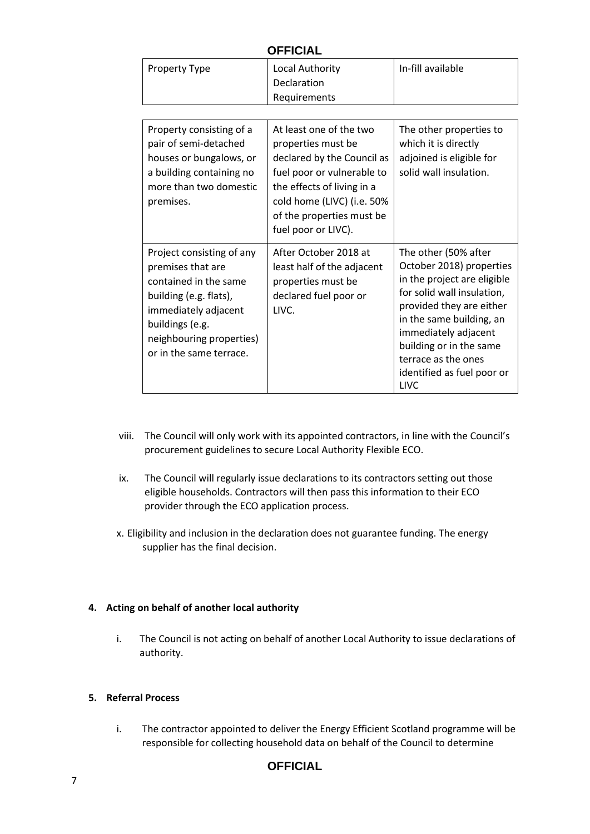| <b>OFFICIAL</b>                                                                                                                                                                                     |                                                                                                                                                                                                                           |                                                                                                                                                                                                                                                                                              |
|-----------------------------------------------------------------------------------------------------------------------------------------------------------------------------------------------------|---------------------------------------------------------------------------------------------------------------------------------------------------------------------------------------------------------------------------|----------------------------------------------------------------------------------------------------------------------------------------------------------------------------------------------------------------------------------------------------------------------------------------------|
| Property Type                                                                                                                                                                                       | Local Authority<br>Declaration<br>Requirements                                                                                                                                                                            | In-fill available                                                                                                                                                                                                                                                                            |
|                                                                                                                                                                                                     |                                                                                                                                                                                                                           |                                                                                                                                                                                                                                                                                              |
| Property consisting of a<br>pair of semi-detached<br>houses or bungalows, or<br>a building containing no<br>more than two domestic<br>premises.                                                     | At least one of the two<br>properties must be<br>declared by the Council as<br>fuel poor or vulnerable to<br>the effects of living in a<br>cold home (LIVC) (i.e. 50%<br>of the properties must be<br>fuel poor or LIVC). | The other properties to<br>which it is directly<br>adjoined is eligible for<br>solid wall insulation.                                                                                                                                                                                        |
| Project consisting of any<br>premises that are<br>contained in the same<br>building (e.g. flats),<br>immediately adjacent<br>buildings (e.g.<br>neighbouring properties)<br>or in the same terrace. | After October 2018 at<br>least half of the adjacent<br>properties must be<br>declared fuel poor or<br>LIVC.                                                                                                               | The other (50% after<br>October 2018) properties<br>in the project are eligible<br>for solid wall insulation,<br>provided they are either<br>in the same building, an<br>immediately adjacent<br>building or in the same<br>terrace as the ones<br>identified as fuel poor or<br><b>LIVC</b> |

- viii. The Council will only work with its appointed contractors, in line with the Council's procurement guidelines to secure Local Authority Flexible ECO.
- ix. The Council will regularly issue declarations to its contractors setting out those eligible households. Contractors will then pass this information to their ECO provider through the ECO application process.
- x. Eligibility and inclusion in the declaration does not guarantee funding. The energy supplier has the final decision.

#### **4. Acting on behalf of another local authority**

i. The Council is not acting on behalf of another Local Authority to issue declarations of authority.

#### **5. Referral Process**

i. The contractor appointed to deliver the Energy Efficient Scotland programme will be responsible for collecting household data on behalf of the Council to determine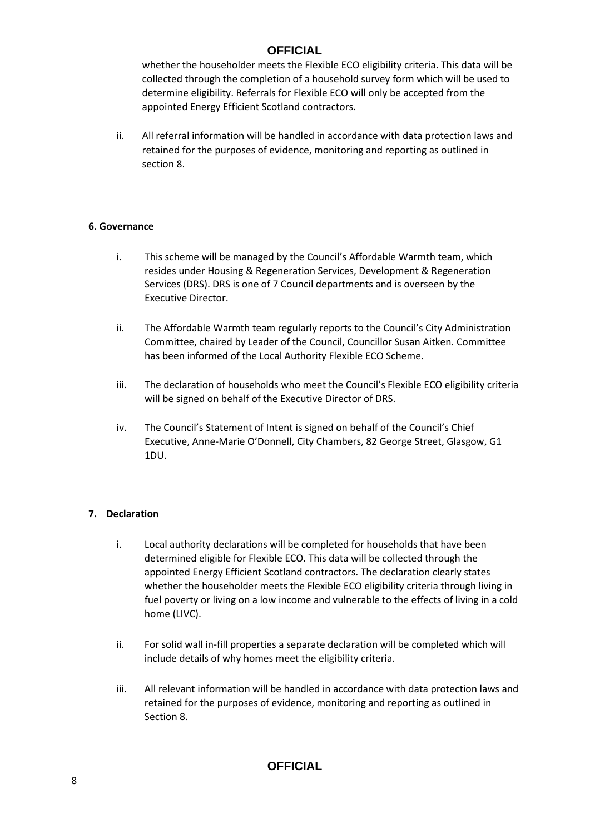whether the householder meets the Flexible ECO eligibility criteria. This data will be collected through the completion of a household survey form which will be used to determine eligibility. Referrals for Flexible ECO will only be accepted from the appointed Energy Efficient Scotland contractors.

ii. All referral information will be handled in accordance with data protection laws and retained for the purposes of evidence, monitoring and reporting as outlined in section 8.

#### **6. Governance**

- i. This scheme will be managed by the Council's Affordable Warmth team, which resides under Housing & Regeneration Services, Development & Regeneration Services (DRS). DRS is one of 7 Council departments and is overseen by the Executive Director.
- ii. The Affordable Warmth team regularly reports to the Council's City Administration Committee, chaired by Leader of the Council, Councillor Susan Aitken. Committee has been informed of the Local Authority Flexible ECO Scheme.
- iii. The declaration of households who meet the Council's Flexible ECO eligibility criteria will be signed on behalf of the Executive Director of DRS.
- iv. The Council's Statement of Intent is signed on behalf of the Council's Chief Executive, Anne-Marie O'Donnell, City Chambers, 82 George Street, Glasgow, G1 1DU.

#### **7. Declaration**

- i. Local authority declarations will be completed for households that have been determined eligible for Flexible ECO. This data will be collected through the appointed Energy Efficient Scotland contractors. The declaration clearly states whether the householder meets the Flexible ECO eligibility criteria through living in fuel poverty or living on a low income and vulnerable to the effects of living in a cold home (LIVC).
- ii. For solid wall in-fill properties a separate declaration will be completed which will include details of why homes meet the eligibility criteria.
- iii. All relevant information will be handled in accordance with data protection laws and retained for the purposes of evidence, monitoring and reporting as outlined in Section 8.